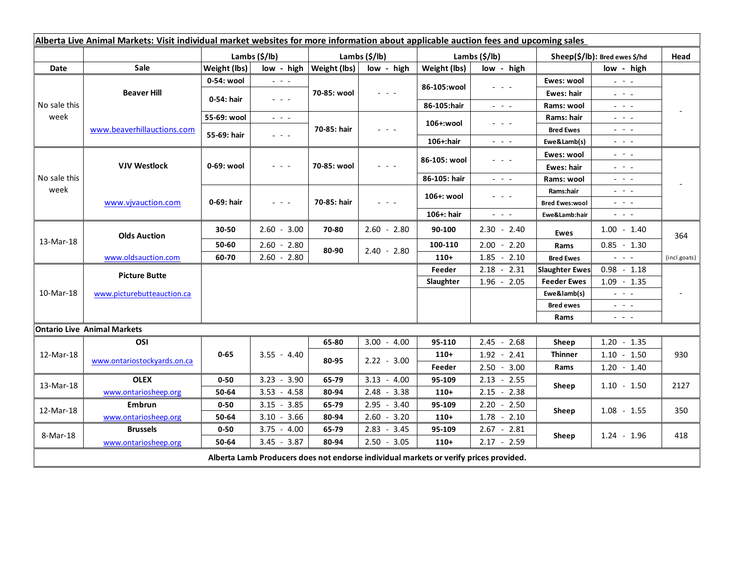| Alberta Live Animal Markets: Visit individual market websites for more information about applicable auction fees and upcoming sales |                             |               |                                                        |               |                                                                                                                           |               |                                                                                                                           |                               |                                                                                                                        |              |
|-------------------------------------------------------------------------------------------------------------------------------------|-----------------------------|---------------|--------------------------------------------------------|---------------|---------------------------------------------------------------------------------------------------------------------------|---------------|---------------------------------------------------------------------------------------------------------------------------|-------------------------------|------------------------------------------------------------------------------------------------------------------------|--------------|
|                                                                                                                                     |                             | Lambs (\$/lb) |                                                        | Lambs (\$/lb) |                                                                                                                           | Lambs (\$/lb) |                                                                                                                           | Sheep(\$/lb): Bred ewes \$/hd |                                                                                                                        | Head         |
| Date                                                                                                                                | <b>Sale</b>                 | Weight (lbs)  | low - high                                             | Weight (lbs)  | low - high                                                                                                                | Weight (lbs)  | low - high                                                                                                                |                               | low - high                                                                                                             |              |
| No sale this<br>week                                                                                                                | <b>Beaver Hill</b>          | 0-54: wool    | $\omega_{\rm c}$ , $\omega_{\rm c}$ , $\omega_{\rm c}$ | 70-85: wool   | $\frac{1}{2} \left( \frac{1}{2} \right) \left( \frac{1}{2} \right) \left( \frac{1}{2} \right) \left( \frac{1}{2} \right)$ | 86-105:wool   | $  -$                                                                                                                     | Ewes: wool                    | $\omega_{\rm{eff}}=0.1$                                                                                                |              |
|                                                                                                                                     |                             | 0-54: hair    | $\omega_{\rm{eff}}$ and $\omega_{\rm{eff}}$            |               |                                                                                                                           |               |                                                                                                                           | Ewes: hair                    | $\mathbb{L}^2 \times \mathbb{L}^2$                                                                                     |              |
|                                                                                                                                     |                             |               |                                                        |               |                                                                                                                           | 86-105:hair   | $\omega_{\rm{eff}}$ and $\omega_{\rm{eff}}$                                                                               | Rams: wool                    | $\frac{1}{2} \left( \frac{1}{2} \right) = \frac{1}{2} \left( \frac{1}{2} \right)$                                      |              |
|                                                                                                                                     | www.beaverhillauctions.com  | 55-69: wool   | $\omega_{\rm{eff}}=0.1$                                | 70-85: hair   | $  -$                                                                                                                     | 106+:wool     | - - -                                                                                                                     | Rams: hair                    | $\frac{1}{2} \left( \frac{1}{2} \right) = \frac{1}{2} \left( \frac{1}{2} \right) = \frac{1}{2}$                        |              |
|                                                                                                                                     |                             | 55-69: hair   | $\mathbb{L}^2 \times \mathbb{L}^2$                     |               |                                                                                                                           |               |                                                                                                                           | <b>Bred Ewes</b>              | $\mathbb{L}^2 \times \mathbb{L}^2$                                                                                     |              |
|                                                                                                                                     |                             |               |                                                        |               |                                                                                                                           | $106+$ : hair | $\frac{1}{2} \left( \frac{1}{2} \right) \left( \frac{1}{2} \right) \left( \frac{1}{2} \right) \left( \frac{1}{2} \right)$ | Ewe&Lamb(s)                   | $\sim$ 10 $\sim$                                                                                                       |              |
| No sale this<br>week                                                                                                                | <b>VJV Westlock</b>         | 0-69: wool    | $  -$                                                  | 70-85: wool   |                                                                                                                           | 86-105: wool  | - - -                                                                                                                     | Ewes: wool                    | $\frac{1}{2} \left( \frac{1}{2} \right) = \frac{1}{2} \left( \frac{1}{2} \right)$                                      |              |
|                                                                                                                                     |                             |               |                                                        |               |                                                                                                                           |               |                                                                                                                           | Ewes: hair                    | $\frac{1}{2} \left( \frac{1}{2} \right) = \frac{1}{2} \left( \frac{1}{2} \right)$                                      |              |
|                                                                                                                                     |                             |               |                                                        |               |                                                                                                                           | 86-105: hair  | $\omega_{\rm{eff}}$ and $\omega_{\rm{eff}}$                                                                               | Rams: wool                    | $  -$                                                                                                                  |              |
|                                                                                                                                     | www.vjvauction.com          | 0-69: hair    | $\omega_{\rm c}$ is $\omega_{\rm c}$                   | 70-85: hair   | $  -$                                                                                                                     | 106+: wool    | - - -                                                                                                                     | Rams:hair                     | $  -$                                                                                                                  |              |
|                                                                                                                                     |                             |               |                                                        |               |                                                                                                                           |               |                                                                                                                           | <b>Bred Ewes:wool</b>         | $\mathbb{L}^2 \times \mathbb{L}^2$                                                                                     |              |
|                                                                                                                                     |                             |               |                                                        |               |                                                                                                                           | 106+: hair    | $\omega_{\rm{c}}$ , $\omega_{\rm{c}}$ , $\omega_{\rm{c}}$                                                                 | Ewe&Lamb:hair                 | $\sim$ $ \sim$                                                                                                         |              |
| 13-Mar-18                                                                                                                           | <b>Olds Auction</b>         | 30-50         | $2.60 - 3.00$                                          | 70-80         | $2.60 - 2.80$                                                                                                             | 90-100        | $2.30 - 2.40$                                                                                                             | <b>Ewes</b>                   | $1.00 - 1.40$                                                                                                          | 364          |
|                                                                                                                                     |                             | 50-60         | $2.60 - 2.80$                                          | 80-90         | $2.40 - 2.80$                                                                                                             | 100-110       | $2.00 - 2.20$                                                                                                             | Rams                          | $0.85 - 1.30$                                                                                                          |              |
|                                                                                                                                     | www.oldsauction.com         | 60-70         | $2.60 - 2.80$                                          |               |                                                                                                                           | $110+$        | $1.85 - 2.10$                                                                                                             | <b>Bred Ewes</b>              | $\omega_{\rm{c}}$ and $\omega_{\rm{c}}$                                                                                | (incl.goats) |
| 10-Mar-18                                                                                                                           | <b>Picture Butte</b>        |               |                                                        |               |                                                                                                                           | Feeder        | $2.18 - 2.31$                                                                                                             | <b>Slaughter Ewes</b>         | $0.98 - 1.18$                                                                                                          |              |
|                                                                                                                                     |                             |               |                                                        |               |                                                                                                                           | Slaughter     | $1.96 - 2.05$                                                                                                             | <b>Feeder Ewes</b>            | $1.09 - 1.35$                                                                                                          |              |
|                                                                                                                                     | www.picturebutteauction.ca  |               |                                                        |               |                                                                                                                           |               |                                                                                                                           | Ewe&lamb(s)                   | $\mathbb{L}^2 \times \mathbb{L}^2$                                                                                     |              |
|                                                                                                                                     |                             |               |                                                        |               |                                                                                                                           |               |                                                                                                                           | <b>Bred ewes</b>              | $\frac{1}{2} \left( \frac{1}{2} \right) = \frac{1}{2} \left( \frac{1}{2} \right) = \frac{1}{2}$                        |              |
|                                                                                                                                     |                             |               |                                                        |               |                                                                                                                           |               |                                                                                                                           | Rams                          | $\frac{1}{2} \left( \frac{1}{2} \right) \frac{1}{2} \left( \frac{1}{2} \right) \frac{1}{2} \left( \frac{1}{2} \right)$ |              |
| <b>Ontario Live Animal Markets</b>                                                                                                  |                             |               |                                                        |               |                                                                                                                           |               |                                                                                                                           |                               |                                                                                                                        |              |
| 12-Mar-18                                                                                                                           | OSI                         | $0 - 65$      | $3.55 - 4.40$                                          | 65-80         | $3.00 - 4.00$                                                                                                             | 95-110        | $2.45 - 2.68$                                                                                                             | Sheep                         | $1.20 - 1.35$                                                                                                          |              |
|                                                                                                                                     | www.ontariostockyards.on.ca |               |                                                        | 80-95         | $2.22 - 3.00$                                                                                                             | $110+$        | $1.92 - 2.41$                                                                                                             | <b>Thinner</b>                | $1.10 - 1.50$                                                                                                          | 930          |
|                                                                                                                                     |                             |               |                                                        |               |                                                                                                                           | Feeder        | $2.50 - 3.00$                                                                                                             | Rams                          | $1.20 - 1.40$                                                                                                          |              |
| 13-Mar-18                                                                                                                           | <b>OLEX</b>                 | $0 - 50$      | $3.23 - 3.90$                                          | 65-79         | $3.13 - 4.00$                                                                                                             | 95-109        | $2.13 - 2.55$                                                                                                             | Sheep                         | $1.10 - 1.50$                                                                                                          | 2127         |
|                                                                                                                                     | www.ontariosheep.org        | 50-64         | $3.53 - 4.58$                                          | 80-94         | $2.48 - 3.38$                                                                                                             | $110+$        | $2.15 - 2.38$                                                                                                             |                               |                                                                                                                        |              |
| 12-Mar-18                                                                                                                           | Embrun                      | $0 - 50$      | $3.15 - 3.85$                                          | 65-79         | $2.95 - 3.40$                                                                                                             | 95-109        | $2.20 - 2.50$                                                                                                             | Sheep                         | $1.08 - 1.55$                                                                                                          | 350          |
|                                                                                                                                     | www.ontariosheep.org        | 50-64         | $3.10 - 3.66$                                          | 80-94         | $2.60 - 3.20$                                                                                                             | $110+$        | $1.78 - 2.10$                                                                                                             |                               |                                                                                                                        |              |
| 8-Mar-18                                                                                                                            | <b>Brussels</b>             | $0 - 50$      | $3.75 - 4.00$                                          | 65-79         | $2.83 - 3.45$                                                                                                             | 95-109        | $2.67 - 2.81$                                                                                                             | Sheep                         | $1.24 - 1.96$                                                                                                          | 418          |
|                                                                                                                                     | www.ontariosheep.org        | 50-64         | $3.45 - 3.87$                                          | 80-94         | $2.50 - 3.05$                                                                                                             | $110+$        | $2.17 - 2.59$                                                                                                             |                               |                                                                                                                        |              |
| Alberta Lamb Producers does not endorse individual markets or verify prices provided.                                               |                             |               |                                                        |               |                                                                                                                           |               |                                                                                                                           |                               |                                                                                                                        |              |